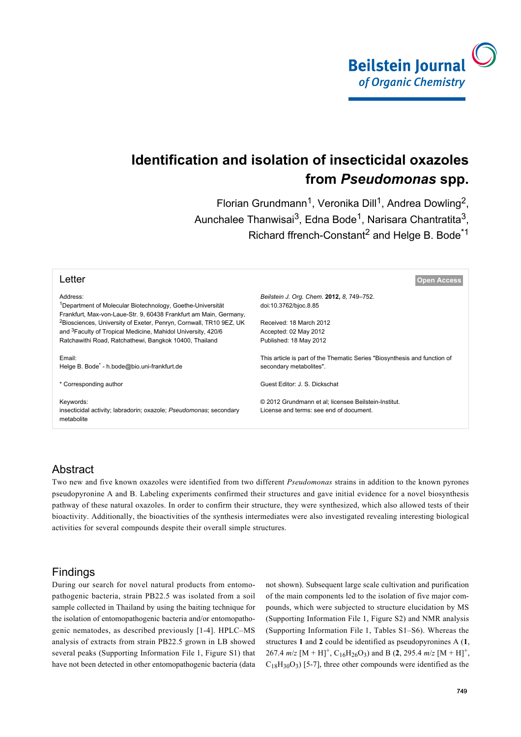

# **Identification and isolation of insecticidal oxazoles from** *Pseudomonas* **spp.**

Florian Grundmann<sup>1</sup>, Veronika Dill<sup>1</sup>, Andrea Dowling<sup>2</sup>, Aunchalee Thanwisai $^3$ , Edna Bode<sup>1</sup>, Narisara Chantratita $^3$ , Richard ffrench-Constant<sup>2</sup> and Helge B. Bode<sup>\*1</sup>

| Letter                                                                                        | pen Access                                                                                           |
|-----------------------------------------------------------------------------------------------|------------------------------------------------------------------------------------------------------|
| Address:                                                                                      | Beilstein J. Org. Chem. 2012, 8, 749-752.                                                            |
| <sup>1</sup> Department of Molecular Biotechnology, Goethe-Universität                        | doi:10.3762/bjoc.8.85                                                                                |
| Frankfurt, Max-von-Laue-Str. 9, 60438 Frankfurt am Main, Germany,                             |                                                                                                      |
| <sup>2</sup> Biosciences, University of Exeter, Penryn, Cornwall, TR10 9EZ, UK                | Received: 18 March 2012                                                                              |
| and <sup>3</sup> Faculty of Tropical Medicine, Mahidol University, 420/6                      | Accepted: 02 May 2012                                                                                |
| Ratchawithi Road, Ratchathewi, Bangkok 10400, Thailand                                        | Published: 18 May 2012                                                                               |
| Email:<br>Helge B. Bode <sup>*</sup> - h.bode@bio.uni-frankfurt.de                            | This article is part of the Thematic Series "Biosynthesis and function of<br>secondary metabolites". |
| * Corresponding author                                                                        | Guest Editor: J. S. Dickschat                                                                        |
| Keywords:<br>insecticidal activity; labradorin; oxazole; Pseudomonas; secondary<br>metabolite | © 2012 Grundmann et al; licensee Beilstein-Institut.<br>License and terms: see end of document.      |
|                                                                                               |                                                                                                      |

# Abstract

Two new and five known oxazoles were identified from two different *Pseudomonas* strains in addition to the known pyrones pseudopyronine A and B. Labeling experiments confirmed their structures and gave initial evidence for a novel biosynthesis pathway of these natural oxazoles. In order to confirm their structure, they were synthesized, which also allowed tests of their bioactivity. Additionally, the bioactivities of the synthesis intermediates were also investigated revealing interesting biological activities for several compounds despite their overall simple structures.

# Findings

During our search for novel natural products from entomopathogenic bacteria, strain PB22.5 was isolated from a soil sample collected in Thailand by using the baiting technique for the isolation of entomopathogenic bacteria and/or entomopathogenic nematodes, as described previously [\[1-4\]](#page-3-0). HPLC–MS analysis of extracts from strain PB22.5 grown in LB showed several peaks ([Supporting Information File 1](#page-3-1), Figure S1) that have not been detected in other entomopathogenic bacteria (data not shown). Subsequent large scale cultivation and purification of the main components led to the isolation of five major compounds, which were subjected to structure elucidation by MS ([Supporting Information File 1,](#page-3-1) Figure S2) and NMR analysis ([Supporting Information File 1,](#page-3-1) Tables S1–S6). Whereas the structures **1** and **2** could be identified as pseudopyronines A (**1**, 267.4  $m/z$  [M + H]<sup>+</sup>, C<sub>16</sub>H<sub>26</sub>O<sub>3</sub>) and B (2, 295.4  $m/z$  [M + H]<sup>+</sup>,  $C_{18}H_{30}O_3$  [\[5-7\]](#page-3-2), three other compounds were identified as the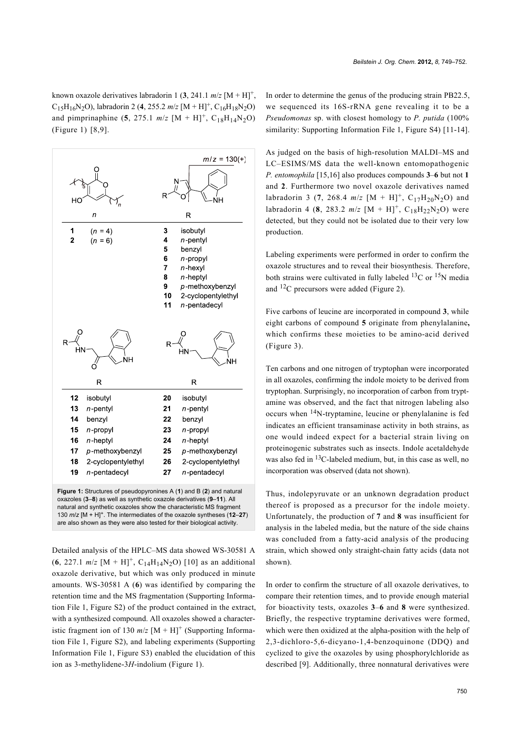known oxazole derivatives labradorin 1  $(3, 241.1 \text{ m/z} [M + H]^+$ ,  $C_{15}H_{16}N_2O$ ), labradorin 2 (4, 255.2 *m/z* [M + H]<sup>+</sup>,  $C_{16}H_{18}N_2O$ ) and pimprinaphine  $(5, 275.1 \text{ m/z } [M + H]^+, C_{18}H_{14}N_2O)$ ([Figure 1](#page-1-0)) [\[8,9\]](#page-3-3).

<span id="page-1-0"></span>

Detailed analysis of the HPLC–MS data showed WS-30581 A  $(6, 227.1 \text{ m/z } [M + H]^+, C_{14}H_{14}N_2O)$  [\[10\]](#page-3-4) as an additional oxazole derivative, but which was only produced in minute amounts. WS-30581 A (**6**) was identified by comparing the retention time and the MS fragmentation ([Supporting Informa](#page-3-1)[tion File 1](#page-3-1), Figure S2) of the product contained in the extract, with a synthesized compound. All oxazoles showed a characteristic fragment ion of 130  $m/z$  [M + H]<sup>+</sup> ([Supporting Informa](#page-3-1)[tion File 1](#page-3-1), Figure S2), and labeling experiments ([Supporting](#page-3-1) [Information File 1](#page-3-1), Figure S3) enabled the elucidation of this ion as 3-methylidene-3*H*-indolium ([Figure 1](#page-1-0)).

In order to determine the genus of the producing strain PB22.5, we sequenced its 16S-rRNA gene revealing it to be a *Pseudomonas* sp. with closest homology to *P. putida* (100% similarity: [Supporting Information File 1](#page-3-1), Figure S4) [\[11-14\]](#page-3-5).

As judged on the basis of high-resolution MALDI–MS and LC–ESIMS/MS data the well-known entomopathogenic *P. entomophila* [\[15,16\]](#page-3-6) also produces compounds **3**–**6** but not **1** and **2**. Furthermore two novel oxazole derivatives named labradorin 3 (7, 268.4  $m/z$  [M + H]<sup>+</sup>, C<sub>17</sub>H<sub>20</sub>N<sub>2</sub>O) and labradorin 4 (8, 283.2  $m/z$  [M + H]<sup>+</sup>, C<sub>18</sub>H<sub>22</sub>N<sub>2</sub>O) were detected, but they could not be isolated due to their very low production.

Labeling experiments were performed in order to confirm the oxazole structures and to reveal their biosynthesis. Therefore, both strains were cultivated in fully labeled  $^{13}$ C or  $^{15}$ N media and 12C precursors were added ([Figure 2](#page-2-0)).

Five carbons of leucine are incorporated in compound **3**, while eight carbons of compound **5** originate from phenylalanine**,** which confirms these moieties to be amino-acid derived ([Figure 3](#page-2-1)).

Ten carbons and one nitrogen of tryptophan were incorporated in all oxazoles, confirming the indole moiety to be derived from tryptophan. Surprisingly, no incorporation of carbon from tryptamine was observed, and the fact that nitrogen labeling also occurs when 14N-tryptamine, leucine or phenylalanine is fed indicates an efficient transaminase activity in both strains, as one would indeed expect for a bacterial strain living on proteinogenic substrates such as insects. Indole acetaldehyde was also fed in <sup>13</sup>C-labeled medium, but, in this case as well, no incorporation was observed (data not shown).

Thus, indolepyruvate or an unknown degradation product thereof is proposed as a precursor for the indole moiety. Unfortunately, the production of **7** and **8** was insufficient for analysis in the labeled media, but the nature of the side chains was concluded from a fatty-acid analysis of the producing strain, which showed only straight-chain fatty acids (data not shown).

In order to confirm the structure of all oxazole derivatives, to compare their retention times, and to provide enough material for bioactivity tests, oxazoles **3**–**6** and **8** were synthesized. Briefly, the respective tryptamine derivatives were formed, which were then oxidized at the alpha-position with the help of 2,3-dichloro-5,6-dicyano-1,4-benzoquinone (DDQ) and cyclized to give the oxazoles by using phosphorylchloride as described [\[9\].](#page-3-7) Additionally, three nonnatural derivatives were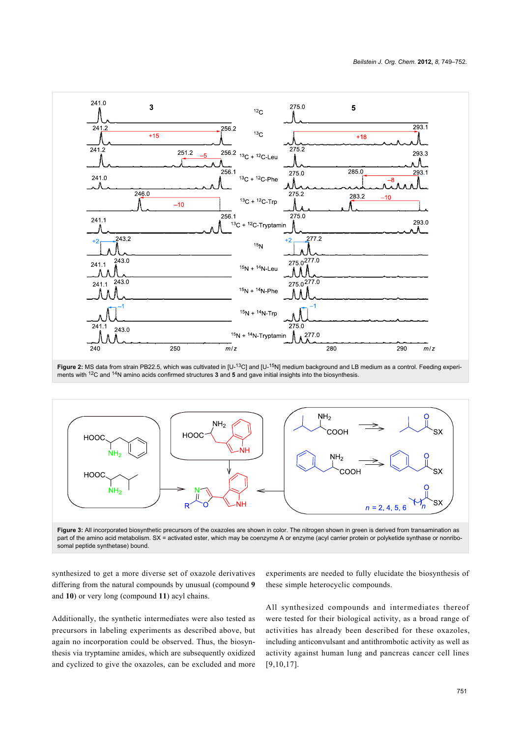<span id="page-2-0"></span>

Figure 2: MS data from strain PB22.5, which was cultivated in [U-<sup>13</sup>C] and [U-<sup>15</sup>N] medium background and LB medium as a control. Feeding experiments with 12C and 14N amino acids confirmed structures **3** and **5** and gave initial insights into the biosynthesis.

<span id="page-2-1"></span>

Figure 3: All incorporated biosynthetic precursors of the oxazoles are shown in color. The nitrogen shown in green is derived from transamination as part of the amino acid metabolism. SX = activated ester, which may be coenzyme A or enzyme (acyl carrier protein or polyketide synthase or nonribosomal peptide synthetase) bound.

synthesized to get a more diverse set of oxazole derivatives differing from the natural compounds by unusual (compound **9** and **10**) or very long (compound **11**) acyl chains.

Additionally, the synthetic intermediates were also tested as precursors in labeling experiments as described above, but again no incorporation could be observed. Thus, the biosynthesis via tryptamine amides, which are subsequently oxidized and cyclized to give the oxazoles, can be excluded and more

experiments are needed to fully elucidate the biosynthesis of these simple heterocyclic compounds.

All synthesized compounds and intermediates thereof were tested for their biological activity, as a broad range of activities has already been described for these oxazoles, including anticonvulsant and antithrombotic activity as well as activity against human lung and pancreas cancer cell lines [\[9,10,17\]](#page-3-7).